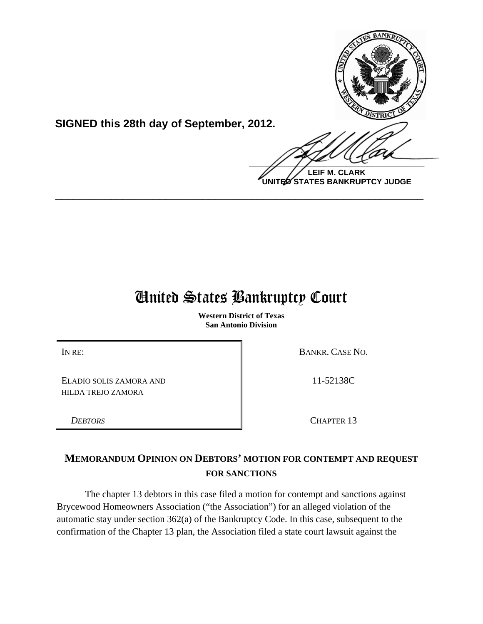

**SIGNED this 28th day of September, 2012.**

 $\frac{1}{2}$ **LEIF M. CLARK**

**UNITED STATES BANKRUPTCY JUDGE**

# United States Bankruptcy Court

**\_\_\_\_\_\_\_\_\_\_\_\_\_\_\_\_\_\_\_\_\_\_\_\_\_\_\_\_\_\_\_\_\_\_\_\_\_\_\_\_\_\_\_\_\_\_\_\_\_\_\_\_\_\_\_\_\_\_\_\_**

**Western District of Texas San Antonio Division**

IN RE: BANKR. CASE NO.

11-52138C

ELADIO SOLIS ZAMORA AND HILDA TREJO ZAMORA

*DEBTORS* CHAPTER 13

**MEMORANDUM OPINION ON DEBTORS' MOTION FOR CONTEMPT AND REQUEST FOR SANCTIONS** 

The chapter 13 debtors in this case filed a motion for contempt and sanctions against Brycewood Homeowners Association ("the Association") for an alleged violation of the automatic stay under section 362(a) of the Bankruptcy Code. In this case, subsequent to the confirmation of the Chapter 13 plan, the Association filed a state court lawsuit against the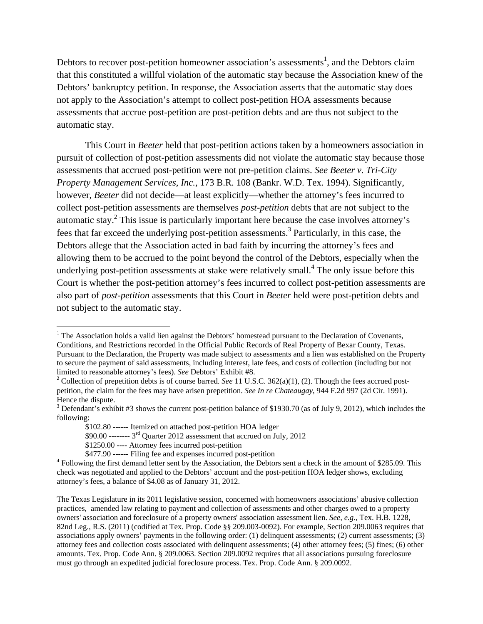Debtors to recover post-petition homeowner association's assessments<sup>1</sup>, and the Debtors claim that this constituted a willful violation of the automatic stay because the Association knew of the Debtors' bankruptcy petition. In response, the Association asserts that the automatic stay does not apply to the Association's attempt to collect post-petition HOA assessments because assessments that accrue post-petition are post-petition debts and are thus not subject to the automatic stay.

This Court in *Beeter* held that post-petition actions taken by a homeowners association in pursuit of collection of post-petition assessments did not violate the automatic stay because those assessments that accrued post-petition were not pre-petition claims. *See Beeter v. Tri-City Property Management Services, Inc.*, 173 B.R. 108 (Bankr. W.D. Tex. 1994). Significantly, however, *Beeter* did not decide—at least explicitly—whether the attorney's fees incurred to collect post-petition assessments are themselves *post-petition* debts that are not subject to the automatic stay.<sup>2</sup> This issue is particularly important here because the case involves attorney's fees that far exceed the underlying post-petition assessments.<sup>3</sup> Particularly, in this case, the Debtors allege that the Association acted in bad faith by incurring the attorney's fees and allowing them to be accrued to the point beyond the control of the Debtors, especially when the underlying post-petition assessments at stake were relatively small. $4$  The only issue before this Court is whether the post-petition attorney's fees incurred to collect post-petition assessments are also part of *post-petition* assessments that this Court in *Beeter* held were post-petition debts and not subject to the automatic stay.

 <sup>1</sup> The Association holds a valid lien against the Debtors' homestead pursuant to the Declaration of Covenants, Conditions, and Restrictions recorded in the Official Public Records of Real Property of Bexar County, Texas. Pursuant to the Declaration, the Property was made subject to assessments and a lien was established on the Property to secure the payment of said assessments, including interest, late fees, and costs of collection (including but not limited to reasonable attorney's fees). *See* Debtors' Exhibit #8.

<sup>&</sup>lt;sup>2</sup> Collection of prepetition debts is of course barred. *See* 11 U.S.C. 362(a)(1), (2). Though the fees accrued postpetition, the claim for the fees may have arisen prepetition. *See In re Chateaugay*, 944 F.2d 997 (2d Cir. 1991). Hence the dispute.

 $3$  Defendant's exhibit #3 shows the current post-petition balance of \$1930.70 (as of July 9, 2012), which includes the following:

 <sup>\$102.80 ------</sup> Itemized on attached post-petition HOA ledger

 $$90.00$  --------  $3<sup>rd</sup>$  Quarter 2012 assessment that accrued on July, 2012

 <sup>\$1250.00 ----</sup> Attorney fees incurred post-petition

<sup>\$477.90 ------</sup> Filing fee and expenses incurred post-petition

Following the first demand letter sent by the Association, the Debtors sent a check in the amount of \$285.09. This check was negotiated and applied to the Debtors' account and the post-petition HOA ledger shows, excluding attorney's fees, a balance of \$4.08 as of January 31, 2012.

The Texas Legislature in its 2011 legislative session, concerned with homeowners associations' abusive collection practices, amended law relating to payment and collection of assessments and other charges owed to a property owners' association and foreclosure of a property owners' association assessment lien. *See, e.g*., Tex. H.B. 1228, 82nd Leg., R.S. (2011) (codified at Tex. Prop. Code §§ 209.003-0092). For example, Section 209.0063 requires that associations apply owners' payments in the following order: (1) delinquent assessments; (2) current assessments; (3) attorney fees and collection costs associated with delinquent assessments; (4) other attorney fees; (5) fines; (6) other amounts. Tex. Prop. Code Ann. § 209.0063. Section 209.0092 requires that all associations pursuing foreclosure must go through an expedited judicial foreclosure process. Tex. Prop. Code Ann. § 209.0092.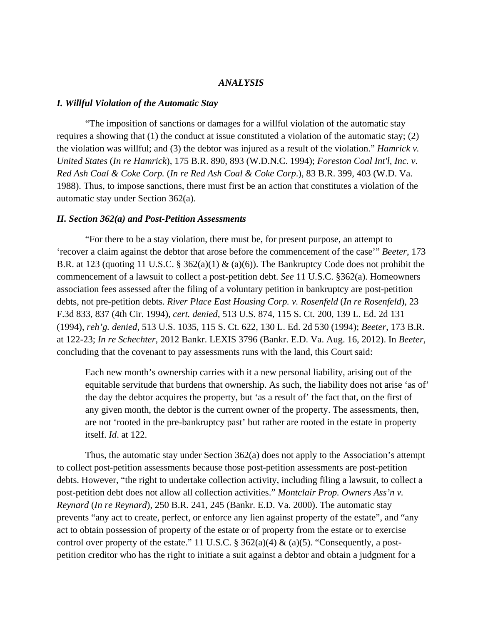## *ANALYSIS*

#### *I. Willful Violation of the Automatic Stay*

"The imposition of sanctions or damages for a willful violation of the automatic stay requires a showing that (1) the conduct at issue constituted a violation of the automatic stay; (2) the violation was willful; and (3) the debtor was injured as a result of the violation." *Hamrick v. United States* (*In re Hamrick*), 175 B.R. 890, 893 (W.D.N.C. 1994); *Foreston Coal Int'l, Inc. v. Red Ash Coal & Coke Corp.* (*In re Red Ash Coal & Coke Corp*.), 83 B.R. 399, 403 (W.D. Va. 1988). Thus, to impose sanctions, there must first be an action that constitutes a violation of the automatic stay under Section 362(a).

#### *II. Section 362(a) and Post-Petition Assessments*

 "For there to be a stay violation, there must be, for present purpose, an attempt to 'recover a claim against the debtor that arose before the commencement of the case'" *Beeter*, 173 B.R. at 123 (quoting 11 U.S.C. § 362(a)(1) & (a)(6)). The Bankruptcy Code does not prohibit the commencement of a lawsuit to collect a post-petition debt. *See* 11 U.S.C. §362(a). Homeowners association fees assessed after the filing of a voluntary petition in bankruptcy are post-petition debts, not pre-petition debts. *River Place East Housing Corp. v. Rosenfeld* (*In re Rosenfeld*), 23 F.3d 833, 837 (4th Cir. 1994), *cert. denied*, 513 U.S. 874, 115 S. Ct. 200, 139 L. Ed. 2d 131 (1994), *reh'g. denied*, 513 U.S. 1035, 115 S. Ct. 622, 130 L. Ed. 2d 530 (1994); *Beeter*, 173 B.R. at 122-23; *In re Schechter*, 2012 Bankr. LEXIS 3796 (Bankr. E.D. Va. Aug. 16, 2012). In *Beeter*, concluding that the covenant to pay assessments runs with the land, this Court said:

Each new month's ownership carries with it a new personal liability, arising out of the equitable servitude that burdens that ownership. As such, the liability does not arise 'as of' the day the debtor acquires the property, but 'as a result of' the fact that, on the first of any given month, the debtor is the current owner of the property. The assessments, then, are not 'rooted in the pre-bankruptcy past' but rather are rooted in the estate in property itself. *Id*. at 122.

 Thus, the automatic stay under Section 362(a) does not apply to the Association's attempt to collect post-petition assessments because those post-petition assessments are post-petition debts. However, "the right to undertake collection activity, including filing a lawsuit, to collect a post-petition debt does not allow all collection activities." *Montclair Prop. Owners Ass'n v. Reynard* (*In re Reynard*), 250 B.R. 241, 245 (Bankr. E.D. Va. 2000). The automatic stay prevents "any act to create, perfect, or enforce any lien against property of the estate", and "any act to obtain possession of property of the estate or of property from the estate or to exercise control over property of the estate." 11 U.S.C. § 362(a)(4) & (a)(5). "Consequently, a postpetition creditor who has the right to initiate a suit against a debtor and obtain a judgment for a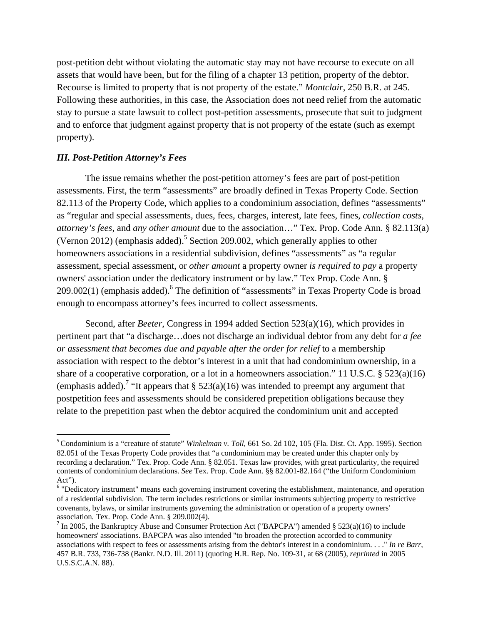post-petition debt without violating the automatic stay may not have recourse to execute on all assets that would have been, but for the filing of a chapter 13 petition, property of the debtor. Recourse is limited to property that is not property of the estate." *Montclair*, 250 B.R. at 245. Following these authorities, in this case, the Association does not need relief from the automatic stay to pursue a state lawsuit to collect post-petition assessments, prosecute that suit to judgment and to enforce that judgment against property that is not property of the estate (such as exempt property).

## *III. Post-Petition Attorney's Fees*

 The issue remains whether the post-petition attorney's fees are part of post-petition assessments. First, the term "assessments" are broadly defined in Texas Property Code. Section 82.113 of the Property Code, which applies to a condominium association, defines "assessments" as "regular and special assessments, dues, fees, charges, interest, late fees, fines, *collection costs*, *attorney's fees*, and *any other amount* due to the association…" Tex. Prop. Code Ann. § 82.113(a) (Vernon 2012) (emphasis added).<sup>5</sup> Section 209.002, which generally applies to other homeowners associations in a residential subdivision, defines "assessments" as "a regular assessment, special assessment, or *other amount* a property owner *is required to pay* a property owners' association under the dedicatory instrument or by law." Tex Prop. Code Ann. §  $209.002(1)$  (emphasis added). <sup>6</sup> The definition of "assessments" in Texas Property Code is broad enough to encompass attorney's fees incurred to collect assessments.

 Second, after *Beeter*, Congress in 1994 added Section 523(a)(16), which provides in pertinent part that "a discharge…does not discharge an individual debtor from any debt for *a fee or assessment that becomes due and payable after the order for relief* to a membership association with respect to the debtor's interest in a unit that had condominium ownership, in a share of a cooperative corporation, or a lot in a homeowners association." 11 U.S.C. § 523(a)(16) (emphasis added).<sup>7</sup> "It appears that § 523(a)(16) was intended to preempt any argument that postpetition fees and assessments should be considered prepetition obligations because they relate to the prepetition past when the debtor acquired the condominium unit and accepted

<sup>&</sup>lt;sup>5</sup> Condominium is a "creature of statute" *Winkelman v. Toll*, 661 So. 2d 102, 105 (Fla. Dist. Ct. App. 1995). Section 82.051 of the Texas Property Code provides that "a condominium may be created under this chapter only by recording a declaration." Tex. Prop. Code Ann. § 82.051. Texas law provides, with great particularity, the required contents of condominium declarations. *See* Tex. Prop. Code Ann. §§ 82.001-82.164 ("the Uniform Condominium Act").

<sup>&</sup>lt;sup>6</sup> "Dedicatory instrument" means each governing instrument covering the establishment, maintenance, and operation of a residential subdivision. The term includes restrictions or similar instruments subjecting property to restrictive covenants, bylaws, or similar instruments governing the administration or operation of a property owners' association. Tex. Prop. Code Ann. § 209.002(4).

<sup>&</sup>lt;sup>7</sup> In 2005, the Bankruptcy Abuse and Consumer Protection Act ("BAPCPA") amended § 523(a)(16) to include homeowners' associations. BAPCPA was also intended "to broaden the protection accorded to community associations with respect to fees or assessments arising from the debtor's interest in a condominium. . . ." *In re Barr*, 457 B.R. 733, 736-738 (Bankr. N.D. Ill. 2011) (quoting H.R. Rep. No. 109-31, at 68 (2005), *reprinted* in 2005 U.S.S.C.A.N. 88).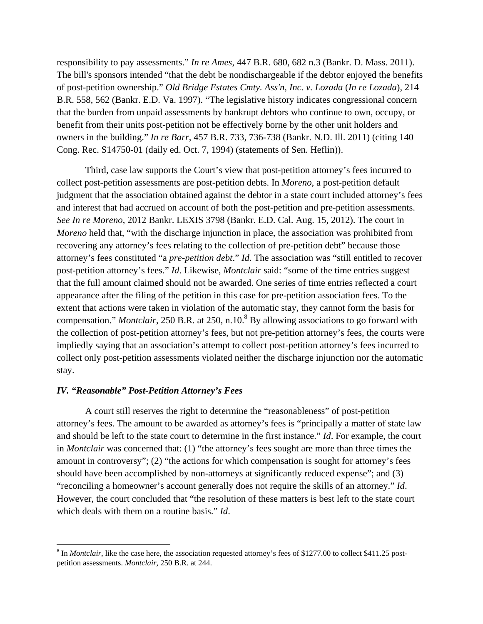responsibility to pay assessments." *In re Ames*, 447 B.R. 680, 682 n.3 (Bankr. D. Mass. 2011). The bill's sponsors intended "that the debt be nondischargeable if the debtor enjoyed the benefits of post-petition ownership." *Old Bridge Estates Cmty. Ass'n, Inc. v. Lozada* (*In re Lozada*), 214 B.R. 558, 562 (Bankr. E.D. Va. 1997). "The legislative history indicates congressional concern that the burden from unpaid assessments by bankrupt debtors who continue to own, occupy, or benefit from their units post-petition not be effectively borne by the other unit holders and owners in the building." *In re Barr*, 457 B.R. 733, 736-738 (Bankr. N.D. Ill. 2011) (citing 140 Cong. Rec. S14750-01 (daily ed. Oct. 7, 1994) (statements of Sen. Heflin)).

 Third, case law supports the Court's view that post-petition attorney's fees incurred to collect post-petition assessments are post-petition debts. In *Moreno*, a post-petition default judgment that the association obtained against the debtor in a state court included attorney's fees and interest that had accrued on account of both the post-petition and pre-petition assessments. *See In re Moreno*, 2012 Bankr. LEXIS 3798 (Bankr. E.D. Cal. Aug. 15, 2012). The court in *Moreno* held that, "with the discharge injunction in place, the association was prohibited from recovering any attorney's fees relating to the collection of pre-petition debt" because those attorney's fees constituted "a *pre-petition debt*." *Id*. The association was "still entitled to recover post-petition attorney's fees." *Id*. Likewise, *Montclair* said: "some of the time entries suggest that the full amount claimed should not be awarded. One series of time entries reflected a court appearance after the filing of the petition in this case for pre-petition association fees. To the extent that actions were taken in violation of the automatic stay, they cannot form the basis for compensation." *Montclair*, 250 B.R. at 250, n.10.<sup>8</sup> By allowing associations to go forward with the collection of post-petition attorney's fees, but not pre-petition attorney's fees, the courts were impliedly saying that an association's attempt to collect post-petition attorney's fees incurred to collect only post-petition assessments violated neither the discharge injunction nor the automatic stay.

#### *IV. "Reasonable" Post-Petition Attorney's Fees*

 A court still reserves the right to determine the "reasonableness" of post-petition attorney's fees. The amount to be awarded as attorney's fees is "principally a matter of state law and should be left to the state court to determine in the first instance." *Id*. For example, the court in *Montclair* was concerned that: (1) "the attorney's fees sought are more than three times the amount in controversy"; (2) "the actions for which compensation is sought for attorney's fees should have been accomplished by non-attorneys at significantly reduced expense"; and (3) "reconciling a homeowner's account generally does not require the skills of an attorney." *Id*. However, the court concluded that "the resolution of these matters is best left to the state court which deals with them on a routine basis." *Id*.

<sup>&</sup>lt;sup>8</sup> In *Montclair*, like the case here, the association requested attorney's fees of \$1277.00 to collect \$411.25 postpetition assessments. *Montclair*, 250 B.R. at 244.